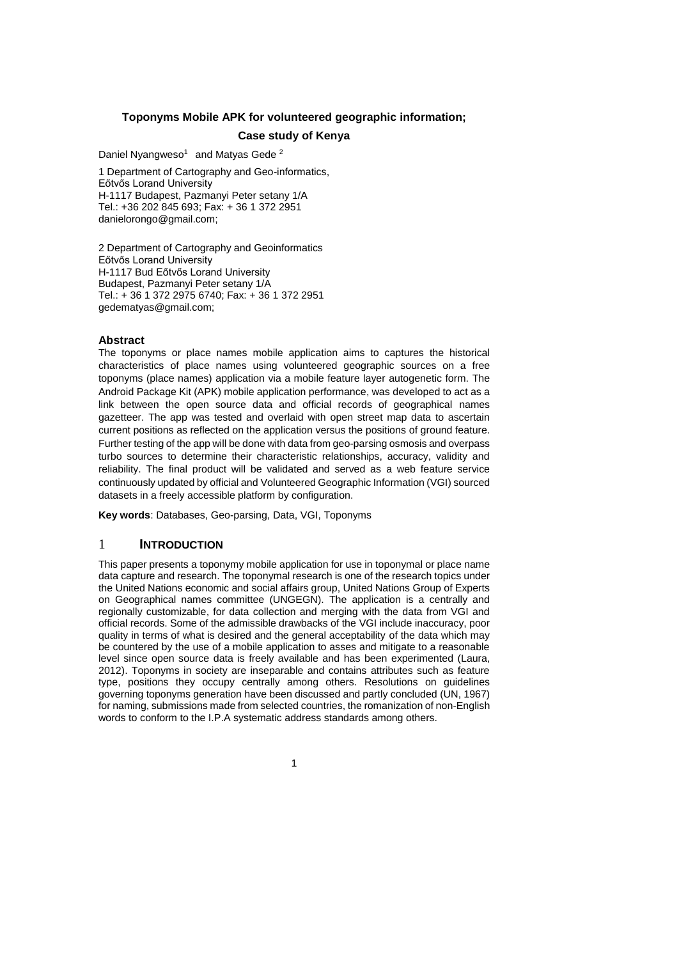### **Toponyms Mobile APK for volunteered geographic information;**

#### **Case study of Kenya**

Daniel Nyangweso<sup>1</sup> and Matyas Gede<sup>2</sup>

1 Department of Cartography and Geo-informatics, Eőtvős Lorand University H-1117 Budapest, Pazmanyi Peter setany 1/A Tel.: +36 202 845 693; Fax: + 36 1 372 2951 danielorongo@gmail.com;

2 Department of Cartography and Geoinformatics Eőtvős Lorand University H-1117 Bud Eőtvős Lorand University Budapest, Pazmanyi Peter setany 1/A Tel.: + 36 1 372 2975 6740; Fax: + 36 1 372 2951 gedematyas@gmail.com;

#### **Abstract**

The toponyms or place names mobile application aims to captures the historical characteristics of place names using volunteered geographic sources on a free toponyms (place names) application via a mobile feature layer autogenetic form. The Android Package Kit (APK) mobile application performance, was developed to act as a link between the open source data and official records of geographical names gazetteer. The app was tested and overlaid with open street map data to ascertain current positions as reflected on the application versus the positions of ground feature. Further testing of the app will be done with data from geo-parsing osmosis and overpass turbo sources to determine their characteristic relationships, accuracy, validity and reliability. The final product will be validated and served as a web feature service continuously updated by official and Volunteered Geographic Information (VGI) sourced datasets in a freely accessible platform by configuration.

**Key words**: Databases, Geo-parsing, Data, VGI, Toponyms

## 1 **INTRODUCTION**

This paper presents a toponymy mobile application for use in toponymal or place name data capture and research. The toponymal research is one of the research topics under the United Nations economic and social affairs group, United Nations Group of Experts on Geographical names committee (UNGEGN). The application is a centrally and regionally customizable, for data collection and merging with the data from VGI and official records. Some of the admissible drawbacks of the VGI include inaccuracy, poor quality in terms of what is desired and the general acceptability of the data which may be countered by the use of a mobile application to asses and mitigate to a reasonable level since open source data is freely available and has been experimented (Laura, 2012). Toponyms in society are inseparable and contains attributes such as feature type, positions they occupy centrally among others. Resolutions on guidelines governing toponyms generation have been discussed and partly concluded (UN, 1967) for naming, submissions made from selected countries, the romanization of non-English words to conform to the I.P.A systematic address standards among others.

1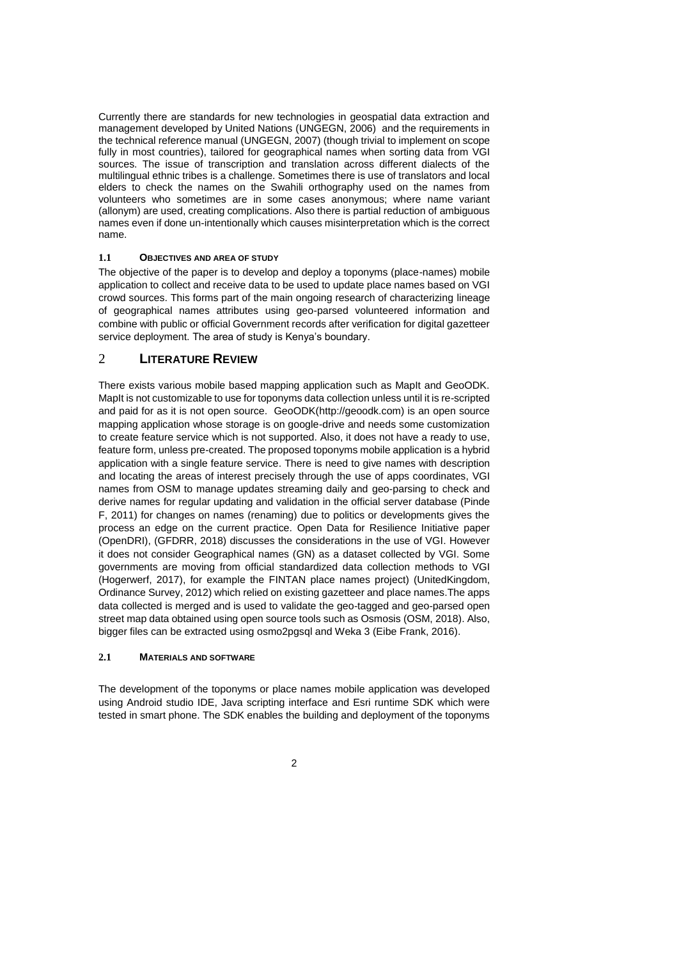Currently there are standards for new technologies in geospatial data extraction and management developed by United Nations (UNGEGN, 2006) and the requirements in the technical reference manual (UNGEGN, 2007) (though trivial to implement on scope fully in most countries), tailored for geographical names when sorting data from VGI sources. The issue of transcription and translation across different dialects of the multilingual ethnic tribes is a challenge. Sometimes there is use of translators and local elders to check the names on the Swahili orthography used on the names from volunteers who sometimes are in some cases anonymous; where name variant (allonym) are used, creating complications. Also there is partial reduction of ambiguous names even if done un-intentionally which causes misinterpretation which is the correct name.

#### **1.1 OBJECTIVES AND AREA OF STUDY**

The objective of the paper is to develop and deploy a toponyms (place-names) mobile application to collect and receive data to be used to update place names based on VGI crowd sources. This forms part of the main ongoing research of characterizing lineage of geographical names attributes using geo-parsed volunteered information and combine with public or official Government records after verification for digital gazetteer service deployment. The area of study is Kenya's boundary.

## 2 **LITERATURE REVIEW**

There exists various mobile based mapping application such as MapIt and GeoODK. MapIt is not customizable to use for toponyms data collection unless until it is re-scripted and paid for as it is not open source. GeoODK(http://geoodk.com) is an open source mapping application whose storage is on google-drive and needs some customization to create feature service which is not supported. Also, it does not have a ready to use, feature form, unless pre-created. The proposed toponyms mobile application is a hybrid application with a single feature service. There is need to give names with description and locating the areas of interest precisely through the use of apps coordinates, VGI names from OSM to manage updates streaming daily and geo-parsing to check and derive names for regular updating and validation in the official server database (Pinde F, 2011) for changes on names (renaming) due to politics or developments gives the process an edge on the current practice. Open Data for Resilience Initiative paper (OpenDRI), (GFDRR, 2018) discusses the considerations in the use of VGI. However it does not consider Geographical names (GN) as a dataset collected by VGI. Some governments are moving from official standardized data collection methods to VGI (Hogerwerf, 2017), for example the FINTAN place names project) (UnitedKingdom, Ordinance Survey, 2012) which relied on existing gazetteer and place names.The apps data collected is merged and is used to validate the geo-tagged and geo-parsed open street map data obtained using open source tools such as Osmosis (OSM, 2018). Also, bigger files can be extracted using osmo2pgsql and Weka 3 (Eibe Frank, 2016).

#### **2.1 MATERIALS AND SOFTWARE**

The development of the toponyms or place names mobile application was developed using Android studio IDE, Java scripting interface and Esri runtime SDK which were tested in smart phone. The SDK enables the building and deployment of the toponyms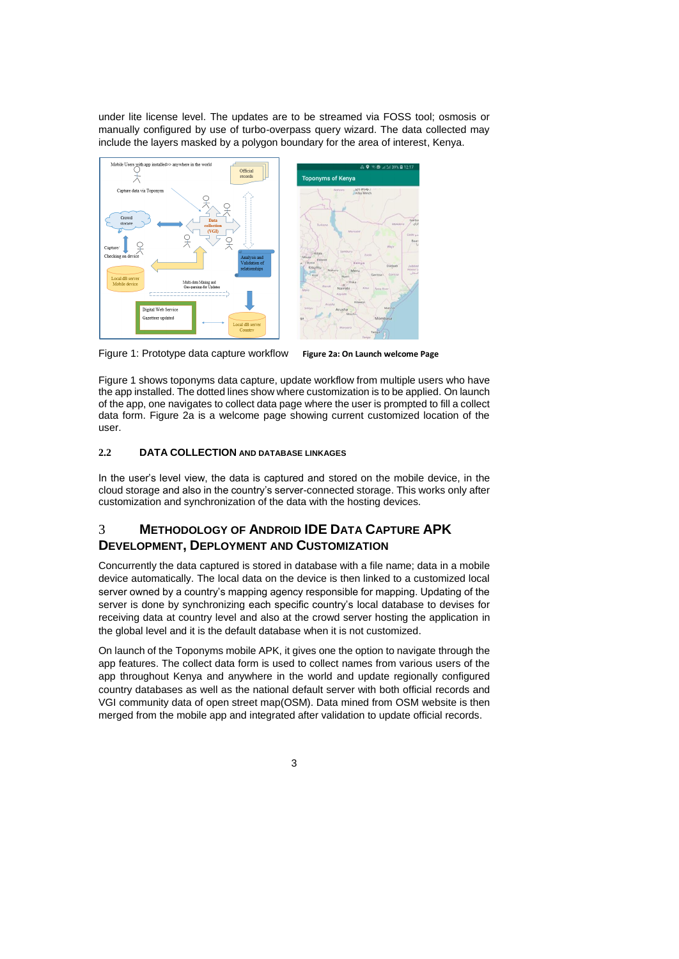under lite license level. The updates are to be streamed via FOSS tool; osmosis or manually configured by use of turbo-overpass query wizard. The data collected may include the layers masked by a polygon boundary for the area of interest, Kenya.



Figure 1: Prototype data capture workflow **Figure 2a: On Launch welcome Page** 

Figure 1 shows toponyms data capture, update workflow from multiple users who have the app installed. The dotted lines show where customization is to be applied. On launch of the app, one navigates to collect data page where the user is prompted to fill a collect data form. Figure 2a is a welcome page showing current customized location of the user.

## **2.2 DATA COLLECTION AND DATABASE LINKAGES**

In the user's level view, the data is captured and stored on the mobile device, in the cloud storage and also in the country's server-connected storage. This works only after customization and synchronization of the data with the hosting devices.

# 3 **METHODOLOGY OF ANDROID IDE DATA CAPTURE APK DEVELOPMENT, DEPLOYMENT AND CUSTOMIZATION**

Concurrently the data captured is stored in database with a file name; data in a mobile device automatically. The local data on the device is then linked to a customized local server owned by a country's mapping agency responsible for mapping. Updating of the server is done by synchronizing each specific country's local database to devises for receiving data at country level and also at the crowd server hosting the application in the global level and it is the default database when it is not customized.

On launch of the Toponyms mobile APK, it gives one the option to navigate through the app features. The collect data form is used to collect names from various users of the app throughout Kenya and anywhere in the world and update regionally configured country databases as well as the national default server with both official records and VGI community data of open street map(OSM). Data mined from OSM website is then merged from the mobile app and integrated after validation to update official records.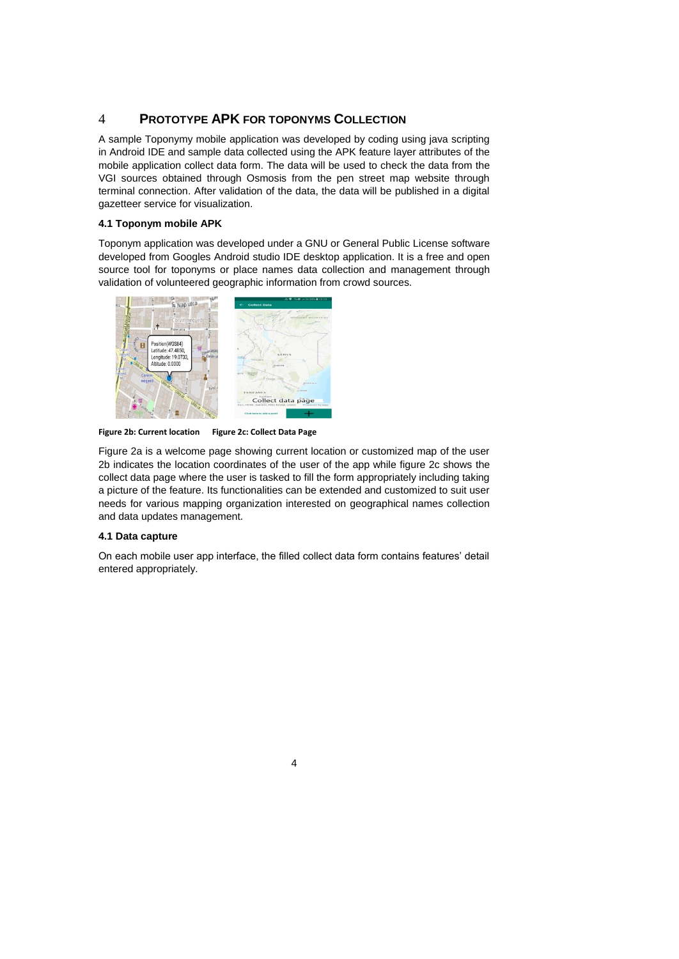# 4 **PROTOTYPE APK FOR TOPONYMS COLLECTION**

A sample Toponymy mobile application was developed by coding using java scripting in Android IDE and sample data collected using the APK feature layer attributes of the mobile application collect data form. The data will be used to check the data from the VGI sources obtained through Osmosis from the pen street map website through terminal connection. After validation of the data, the data will be published in a digital gazetteer service for visualization.

#### **4.1 Toponym mobile APK**

Toponym application was developed under a GNU or General Public License software developed from Googles Android studio IDE desktop application. It is a free and open source tool for toponyms or place names data collection and management through validation of volunteered geographic information from crowd sources.



**Figure 2b: Current location Figure 2c: Collect Data Page**

Figure 2a is a welcome page showing current location or customized map of the user 2b indicates the location coordinates of the user of the app while figure 2c shows the collect data page where the user is tasked to fill the form appropriately including taking a picture of the feature. Its functionalities can be extended and customized to suit user needs for various mapping organization interested on geographical names collection and data updates management.

#### **4.1 Data capture**

On each mobile user app interface, the filled collect data form contains features' detail entered appropriately.

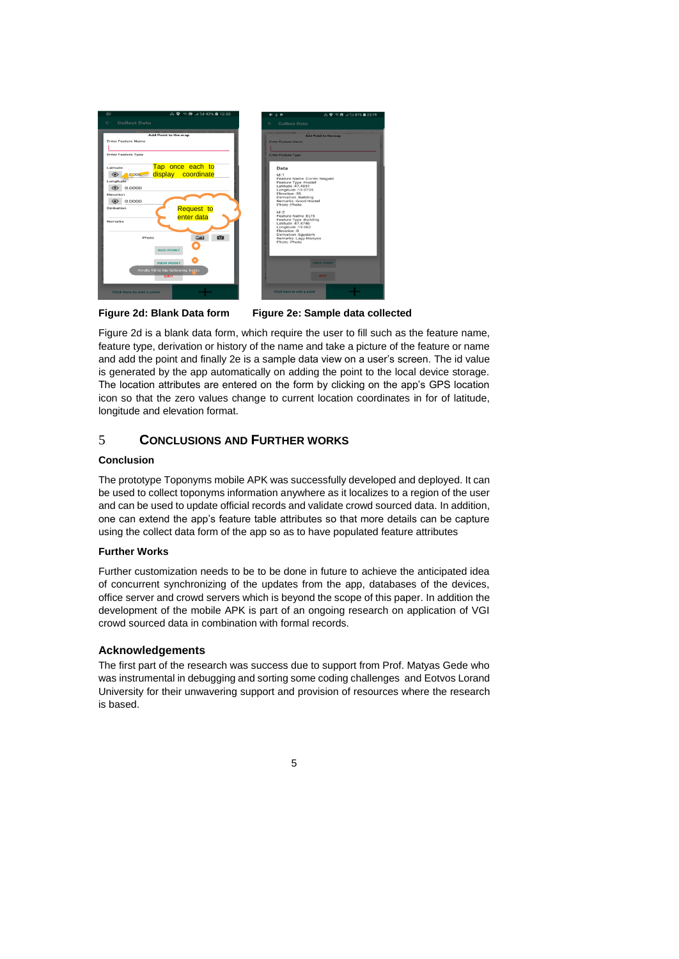

#### **Figure 2d: Blank Data form Figure 2e: Sample data collected**

Figure 2d is a blank data form, which require the user to fill such as the feature name, feature type, derivation or history of the name and take a picture of the feature or name and add the point and finally 2e is a sample data view on a user's screen. The id value is generated by the app automatically on adding the point to the local device storage. The location attributes are entered on the form by clicking on the app's GPS location icon so that the zero values change to current location coordinates in for of latitude, longitude and elevation format.

# 5 **CONCLUSIONS AND FURTHER WORKS**

#### **Conclusion**

The prototype Toponyms mobile APK was successfully developed and deployed. It can be used to collect toponyms information anywhere as it localizes to a region of the user and can be used to update official records and validate crowd sourced data. In addition, one can extend the app's feature table attributes so that more details can be capture using the collect data form of the app so as to have populated feature attributes

#### **Further Works**

Further customization needs to be to be done in future to achieve the anticipated idea of concurrent synchronizing of the updates from the app, databases of the devices, office server and crowd servers which is beyond the scope of this paper. In addition the development of the mobile APK is part of an ongoing research on application of VGI crowd sourced data in combination with formal records.

## **Acknowledgements**

The first part of the research was success due to support from Prof. Matyas Gede who was instrumental in debugging and sorting some coding challenges and Eotvos Lorand University for their unwavering support and provision of resources where the research is based.

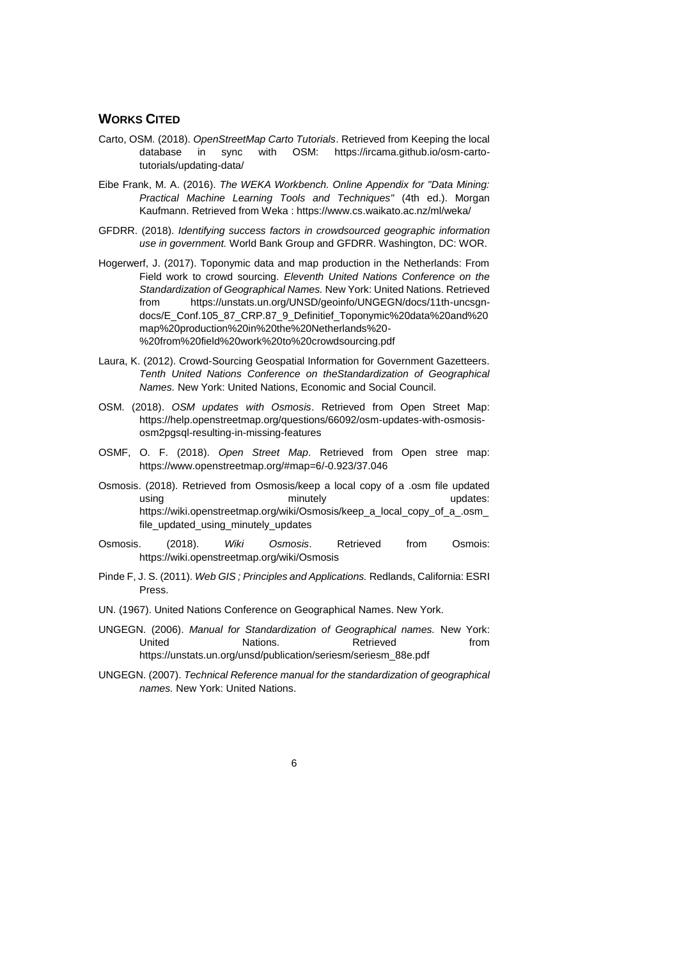# **WORKS CITED**

- Carto, OSM. (2018). *OpenStreetMap Carto Tutorials*. Retrieved from Keeping the local database in sync with OSM: https://ircama.github.io/osm-cartotutorials/updating-data/
- Eibe Frank, M. A. (2016). *The WEKA Workbench. Online Appendix for "Data Mining: Practical Machine Learning Tools and Techniques"* (4th ed.). Morgan Kaufmann. Retrieved from Weka : https://www.cs.waikato.ac.nz/ml/weka/
- GFDRR. (2018). *Identifying success factors in crowdsourced geographic information use in government.* World Bank Group and GFDRR. Washington, DC: WOR.
- Hogerwerf, J. (2017). Toponymic data and map production in the Netherlands: From Field work to crowd sourcing. *Eleventh United Nations Conference on the Standardization of Geographical Names.* New York: United Nations. Retrieved from https://unstats.un.org/UNSD/geoinfo/UNGEGN/docs/11th-uncsgndocs/E\_Conf.105\_87\_CRP.87\_9\_Definitief\_Toponymic%20data%20and%20 map%20production%20in%20the%20Netherlands%20- %20from%20field%20work%20to%20crowdsourcing.pdf
- Laura, K. (2012). Crowd-Sourcing Geospatial Information for Government Gazetteers. *Tenth United Nations Conference on theStandardization of Geographical Names.* New York: United Nations, Economic and Social Council.
- OSM. (2018). *OSM updates with Osmosis*. Retrieved from Open Street Map: https://help.openstreetmap.org/questions/66092/osm-updates-with-osmosisosm2pgsql-resulting-in-missing-features
- OSMF, O. F. (2018). *Open Street Map*. Retrieved from Open stree map: https://www.openstreetmap.org/#map=6/-0.923/37.046
- Osmosis. (2018). Retrieved from Osmosis/keep a local copy of a .osm file updated using using minutely minutely updates: https://wiki.openstreetmap.org/wiki/Osmosis/keep\_a\_local\_copy\_of\_a\_.osm file\_updated\_using\_minutely\_updates
- Osmosis. (2018). *Wiki Osmosis*. Retrieved from Osmois: https://wiki.openstreetmap.org/wiki/Osmosis
- Pinde F, J. S. (2011). *Web GIS ; Principles and Applications.* Redlands, California: ESRI Press.
- UN. (1967). United Nations Conference on Geographical Names. New York.
- UNGEGN. (2006). *Manual for Standardization of Geographical names.* New York: United Mations. Retrieved from https://unstats.un.org/unsd/publication/seriesm/seriesm\_88e.pdf
- UNGEGN. (2007). *Technical Reference manual for the standardization of geographical names.* New York: United Nations.

6